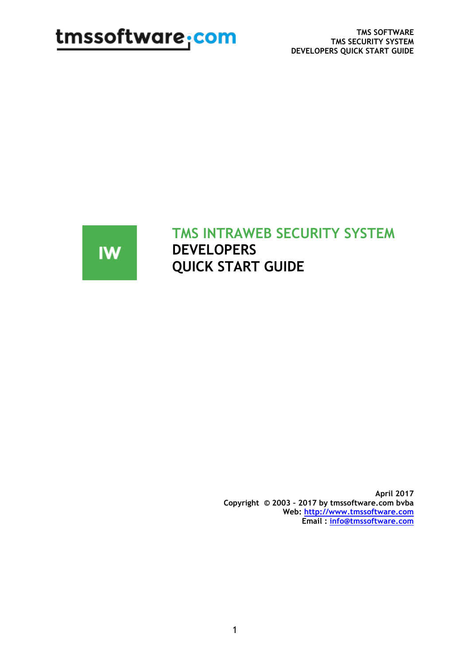



## **TMS INTRAWEB SECURITY SYSTEM DEVELOPERS QUICK START GUIDE**

**April 2017 Copyright © 2003 – 2017 by tmssoftware.com bvba Web: [http://www.tmssoftware.com](http://www.tmssoftware.com/) Email : [info@tmssoftware.com](mailto:info@tmssoftware.com)**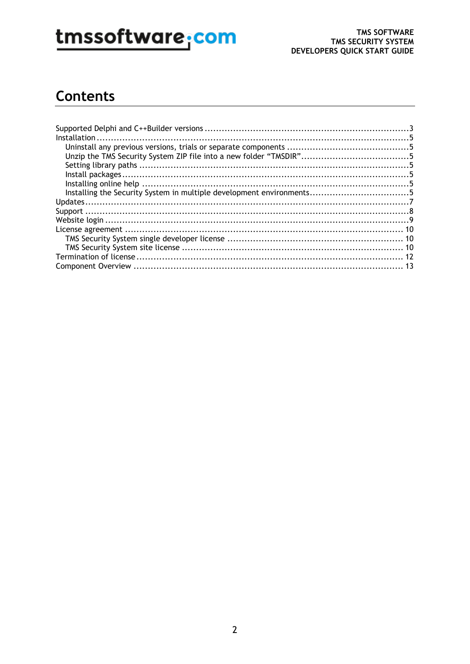## **Contents**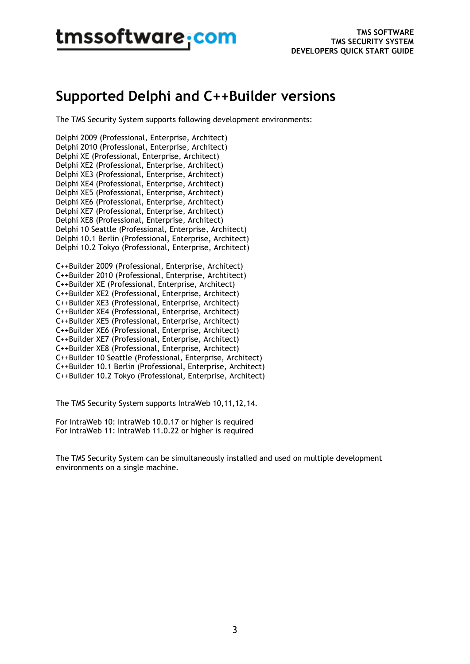## <span id="page-2-0"></span>**Supported Delphi and C++Builder versions**

The TMS Security System supports following development environments:

Delphi 2009 (Professional, Enterprise, Architect) Delphi 2010 (Professional, Enterprise, Architect) Delphi XE (Professional, Enterprise, Architect) Delphi XE2 (Professional, Enterprise, Architect) Delphi XE3 (Professional, Enterprise, Architect) Delphi XE4 (Professional, Enterprise, Architect) Delphi XE5 (Professional, Enterprise, Architect) Delphi XE6 (Professional, Enterprise, Architect) Delphi XE7 (Professional, Enterprise, Architect) Delphi XE8 (Professional, Enterprise, Architect) Delphi 10 Seattle (Professional, Enterprise, Architect) Delphi 10.1 Berlin (Professional, Enterprise, Architect) Delphi 10.2 Tokyo (Professional, Enterprise, Architect) C++Builder 2009 (Professional, Enterprise, Architect) C++Builder 2010 (Professional, Enterprise, Archtitect) C++Builder XE (Professional, Enterprise, Architect) C++Builder XE2 (Professional, Enterprise, Architect) C++Builder XE3 (Professional, Enterprise, Architect) C++Builder XE4 (Professional, Enterprise, Architect) C++Builder XE5 (Professional, Enterprise, Architect) C++Builder XE6 (Professional, Enterprise, Architect) C++Builder XE7 (Professional, Enterprise, Architect) C++Builder XE8 (Professional, Enterprise, Architect)

C++Builder 10 Seattle (Professional, Enterprise, Architect)

C++Builder 10.1 Berlin (Professional, Enterprise, Architect)

C++Builder 10.2 Tokyo (Professional, Enterprise, Architect)

The TMS Security System supports IntraWeb 10,11,12,14.

For IntraWeb 10: IntraWeb 10.0.17 or higher is required For IntraWeb 11: IntraWeb 11.0.22 or higher is required

The TMS Security System can be simultaneously installed and used on multiple development environments on a single machine.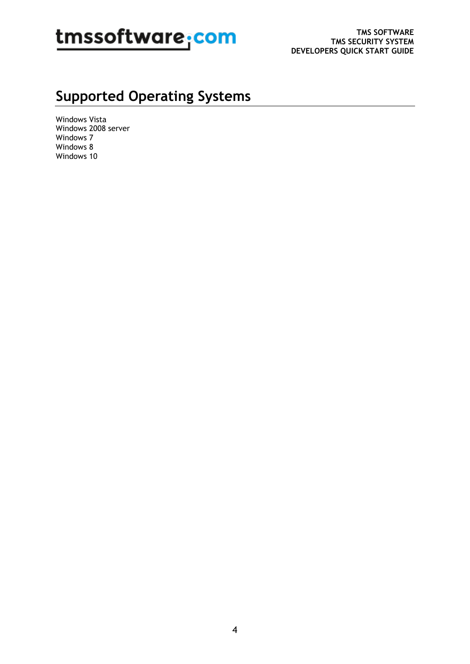## **Supported Operating Systems**

Windows Vista Windows 2008 server Windows 7 Windows 8 Windows 10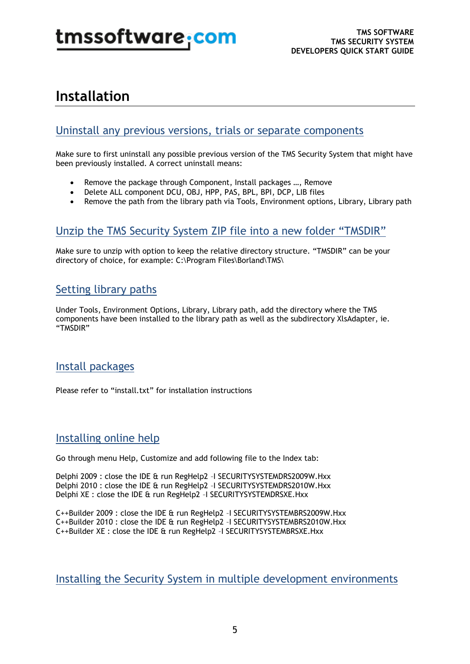## <span id="page-4-0"></span>**Installation**

#### <span id="page-4-1"></span>Uninstall any previous versions, trials or separate components

Make sure to first uninstall any possible previous version of the TMS Security System that might have been previously installed. A correct uninstall means:

- Remove the package through Component, Install packages …, Remove
- Delete ALL component DCU, OBJ, HPP, PAS, BPL, BPI, DCP, LIB files
- Remove the path from the library path via Tools, Environment options, Library, Library path

#### <span id="page-4-2"></span>Unzip the TMS Security System ZIP file into a new folder "TMSDIR"

Make sure to unzip with option to keep the relative directory structure. "TMSDIR" can be your directory of choice, for example: C:\Program Files\Borland\TMS\

#### <span id="page-4-3"></span>Setting library paths

Under Tools, Environment Options, Library, Library path, add the directory where the TMS components have been installed to the library path as well as the subdirectory XlsAdapter, ie. "TMSDIR"

#### <span id="page-4-4"></span>Install packages

Please refer to "install.txt" for installation instructions

### <span id="page-4-5"></span>Installing online help

Go through menu Help, Customize and add following file to the Index tab:

Delphi 2009 : close the IDE & run RegHelp2 –I SECURITYSYSTEMDRS2009W.Hxx Delphi 2010 : close the IDE & run RegHelp2 –I SECURITYSYSTEMDRS2010W.Hxx Delphi XE : close the IDE & run RegHelp2 –I SECURITYSYSTEMDRSXE.Hxx

C++Builder 2009 : close the IDE & run RegHelp2 –I SECURITYSYSTEMBRS2009W.Hxx C++Builder 2010 : close the IDE & run RegHelp2 –I SECURITYSYSTEMBRS2010W.Hxx C++Builder XE : close the IDE & run RegHelp2 –I SECURITYSYSTEMBRSXE.Hxx

<span id="page-4-6"></span>Installing the Security System in multiple development environments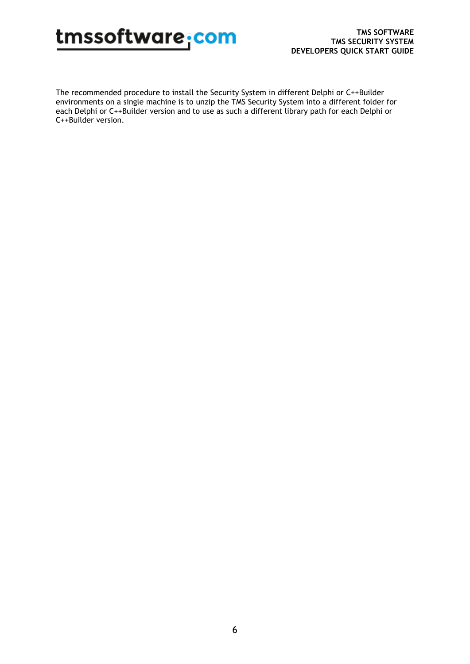The recommended procedure to install the Security System in different Delphi or C++Builder environments on a single machine is to unzip the TMS Security System into a different folder for each Delphi or C++Builder version and to use as such a different library path for each Delphi or C++Builder version.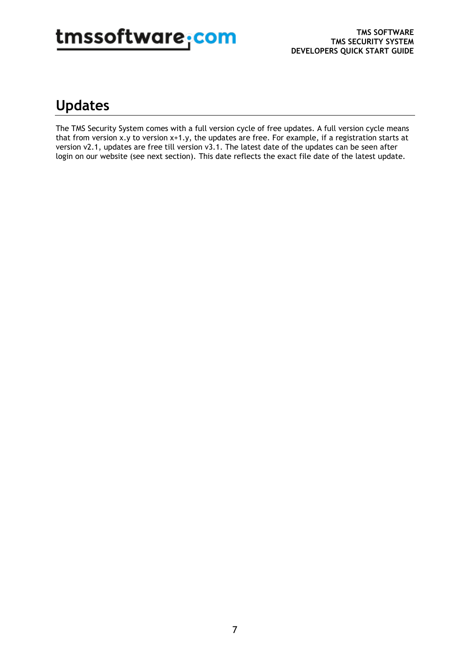## <span id="page-6-0"></span>**Updates**

The TMS Security System comes with a full version cycle of free updates. A full version cycle means that from version x.y to version x+1.y, the updates are free. For example, if a registration starts at version v2.1, updates are free till version v3.1. The latest date of the updates can be seen after login on our website (see next section). This date reflects the exact file date of the latest update.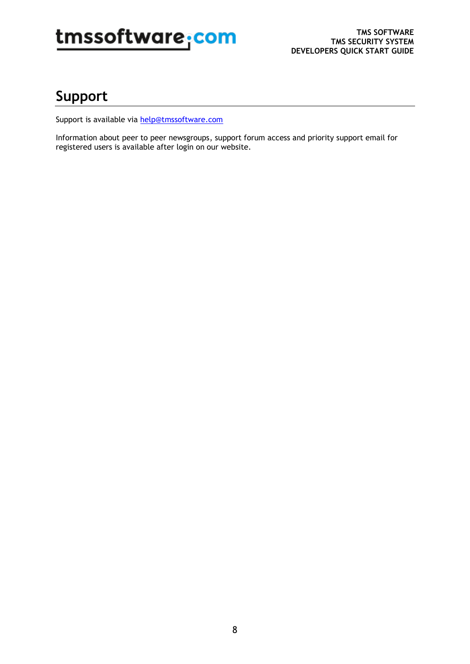## <span id="page-7-0"></span>**Support**

Support is available via [help@tmssoftware.com](mailto:help@tmssoftware.com)

Information about peer to peer newsgroups, support forum access and priority support email for registered users is available after login on our website.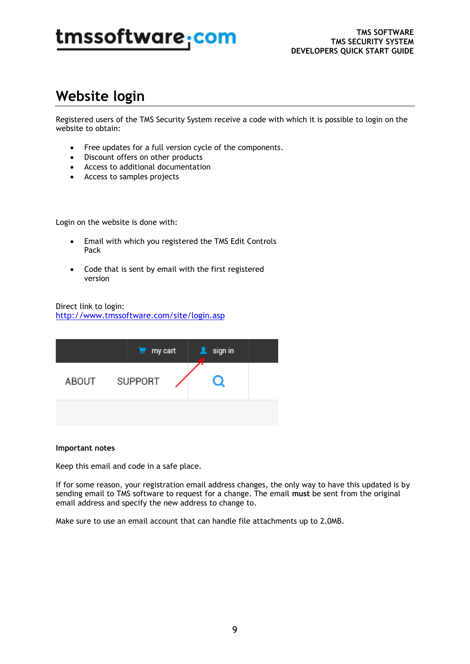## <span id="page-8-0"></span>**Website login**

Registered users of the TMS Security System receive a code with which it is possible to login on the website to obtain:

- Free updates for a full version cycle of the components.
- Discount offers on other products
- Access to additional documentation
- Access to samples projects

Login on the website is done with:

- Email with which you registered the TMS Edit Controls Pack
- Code that is sent by email with the first registered version

Direct link to login: <http://www.tmssoftware.com/site/login.asp>

| E.<br>my cart | sign in |  |
|---------------|---------|--|
| ABOUT SUPPORT |         |  |
|               |         |  |

#### **Important notes**

Keep this email and code in a safe place.

If for some reason, your registration email address changes, the only way to have this updated is by sending email to TMS software to request for a change. The email **must** be sent from the original email address and specify the new address to change to.

Make sure to use an email account that can handle file attachments up to 2.0MB.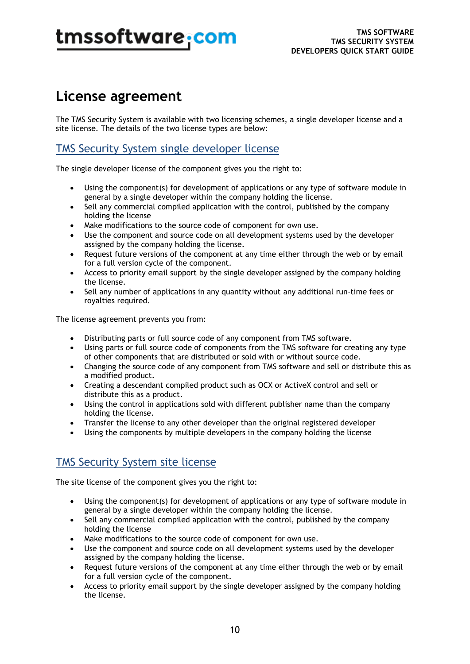## <span id="page-9-0"></span>**License agreement**

The TMS Security System is available with two licensing schemes, a single developer license and a site license. The details of the two license types are below:

### <span id="page-9-1"></span>TMS Security System single developer license

The single developer license of the component gives you the right to:

- Using the component(s) for development of applications or any type of software module in general by a single developer within the company holding the license.
- Sell any commercial compiled application with the control, published by the company holding the license
- Make modifications to the source code of component for own use.
- Use the component and source code on all development systems used by the developer assigned by the company holding the license.
- Request future versions of the component at any time either through the web or by email for a full version cycle of the component.
- Access to priority email support by the single developer assigned by the company holding the license.
- Sell any number of applications in any quantity without any additional run-time fees or royalties required.

The license agreement prevents you from:

- Distributing parts or full source code of any component from TMS software.
- Using parts or full source code of components from the TMS software for creating any type of other components that are distributed or sold with or without source code.
- Changing the source code of any component from TMS software and sell or distribute this as a modified product.
- Creating a descendant compiled product such as OCX or ActiveX control and sell or distribute this as a product.
- Using the control in applications sold with different publisher name than the company holding the license.
- Transfer the license to any other developer than the original registered developer
- Using the components by multiple developers in the company holding the license

### <span id="page-9-2"></span>TMS Security System site license

The site license of the component gives you the right to:

- Using the component(s) for development of applications or any type of software module in general by a single developer within the company holding the license.
- Sell any commercial compiled application with the control, published by the company holding the license
- Make modifications to the source code of component for own use.
- Use the component and source code on all development systems used by the developer assigned by the company holding the license.
- Request future versions of the component at any time either through the web or by email for a full version cycle of the component.
- Access to priority email support by the single developer assigned by the company holding the license.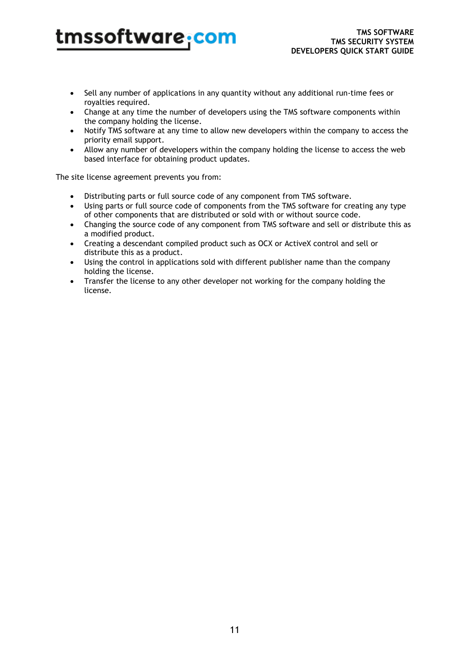- Sell any number of applications in any quantity without any additional run-time fees or royalties required.
- Change at any time the number of developers using the TMS software components within the company holding the license.
- Notify TMS software at any time to allow new developers within the company to access the priority email support.
- Allow any number of developers within the company holding the license to access the web based interface for obtaining product updates.

The site license agreement prevents you from:

- Distributing parts or full source code of any component from TMS software.
- Using parts or full source code of components from the TMS software for creating any type of other components that are distributed or sold with or without source code.
- Changing the source code of any component from TMS software and sell or distribute this as a modified product.
- Creating a descendant compiled product such as OCX or ActiveX control and sell or distribute this as a product.
- Using the control in applications sold with different publisher name than the company holding the license.
- Transfer the license to any other developer not working for the company holding the license.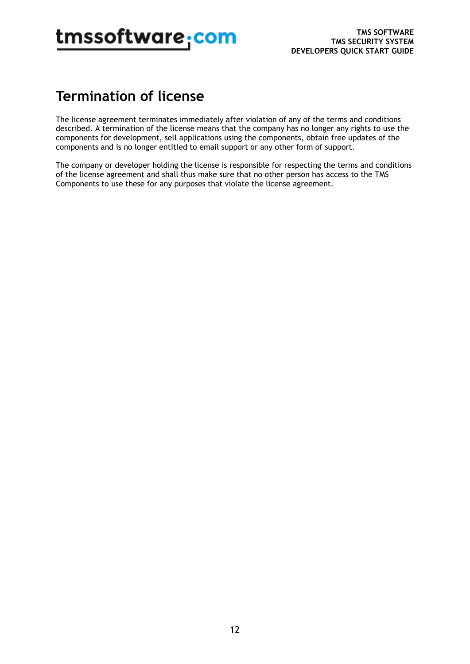## <span id="page-11-0"></span>**Termination of license**

The license agreement terminates immediately after violation of any of the terms and conditions described. A termination of the license means that the company has no longer any rights to use the components for development, sell applications using the components, obtain free updates of the components and is no longer entitled to email support or any other form of support.

The company or developer holding the license is responsible for respecting the terms and conditions of the license agreement and shall thus make sure that no other person has access to the TMS Components to use these for any purposes that violate the license agreement.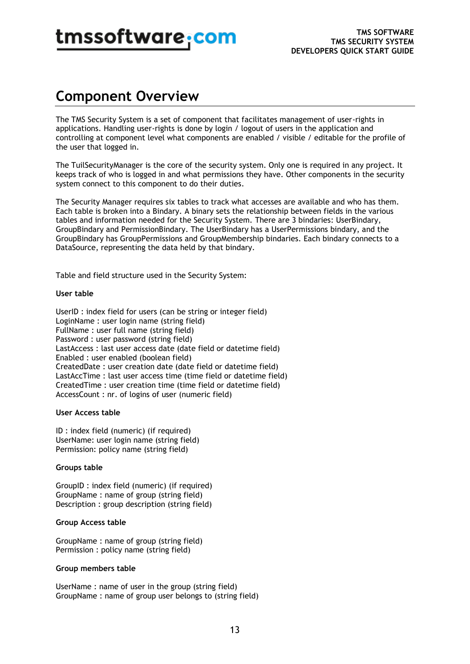## <span id="page-12-0"></span>**Component Overview**

The TMS Security System is a set of component that facilitates management of user-rights in applications. Handling user-rights is done by login / logout of users in the application and controlling at component level what components are enabled / visible / editable for the profile of the user that logged in.

The TuilSecurityManager is the core of the security system. Only one is required in any project. It keeps track of who is logged in and what permissions they have. Other components in the security system connect to this component to do their duties.

The Security Manager requires six tables to track what accesses are available and who has them. Each table is broken into a Bindary. A binary sets the relationship between fields in the various tables and information needed for the Security System. There are 3 bindaries: UserBindary, GroupBindary and PermissionBindary. The UserBindary has a UserPermissions bindary, and the GroupBindary has GroupPermissions and GroupMembership bindaries. Each bindary connects to a DataSource, representing the data held by that bindary.

Table and field structure used in the Security System:

#### **User table**

UserID : index field for users (can be string or integer field) LoginName : user login name (string field) FullName : user full name (string field) Password : user password (string field) LastAccess : last user access date (date field or datetime field) Enabled : user enabled (boolean field) CreatedDate : user creation date (date field or datetime field) LastAccTime : last user access time (time field or datetime field) CreatedTime : user creation time (time field or datetime field) AccessCount : nr. of logins of user (numeric field)

#### **User Access table**

ID : index field (numeric) (if required) UserName: user login name (string field) Permission: policy name (string field)

#### **Groups table**

GroupID : index field (numeric) (if required) GroupName : name of group (string field) Description : group description (string field)

#### **Group Access table**

GroupName : name of group (string field) Permission : policy name (string field)

#### **Group members table**

UserName : name of user in the group (string field) GroupName : name of group user belongs to (string field)